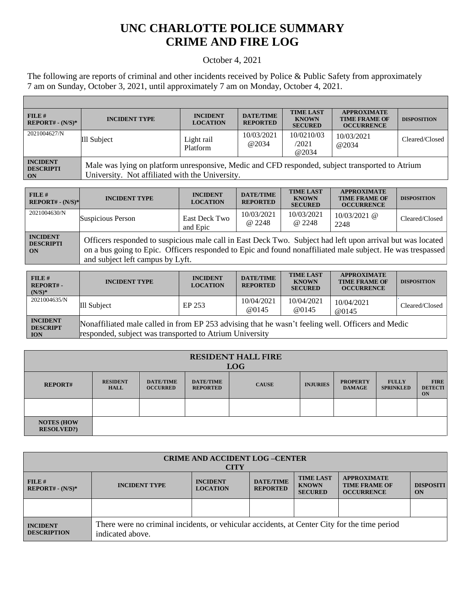## **UNC CHARLOTTE POLICE SUMMARY CRIME AND FIRE LOG**

## October 4, 2021

The following are reports of criminal and other incidents received by Police & Public Safety from approximately 7 am on Sunday, October 3, 2021, until approximately 7 am on Monday, October 4, 2021.

Г

| FILE H<br>$REPORT# - (N/S)*$                     | <b>INCIDENT TYPE</b>                                                                                                                               | <b>INCIDENT</b><br><b>LOCATION</b> | <b>DATE/TIME</b><br><b>REPORTED</b> | <b>TIME LAST</b><br><b>KNOWN</b><br><b>SECURED</b> | <b>APPROXIMATE</b><br><b>TIME FRAME OF</b><br><b>OCCURRENCE</b> | <b>DISPOSITION</b> |
|--------------------------------------------------|----------------------------------------------------------------------------------------------------------------------------------------------------|------------------------------------|-------------------------------------|----------------------------------------------------|-----------------------------------------------------------------|--------------------|
| 2021004627/N                                     | Ill Subject                                                                                                                                        | Light rail<br>Platform             | 10/03/2021<br>@2034                 | 10/0210/03<br>/2021<br>@2034                       | 10/03/2021<br>@2034                                             | Cleared/Closed     |
| <b>INCIDENT</b><br><b>DESCRIPTI</b><br><b>ON</b> | Male was lying on platform unresponsive, Medic and CFD responded, subject transported to Atrium<br>University. Not affiliated with the University. |                                    |                                     |                                                    |                                                                 |                    |

| FILE H<br>$REPORT# - (N/S)*$              | <b>INCIDENT TYPE</b>                                                                                                                                                                                                                                         | <b>INCIDENT</b><br><b>LOCATION</b> | <b>DATE/TIME</b><br><b>REPORTED</b> | <b>TIME LAST</b><br><b>KNOWN</b><br><b>SECURED</b> | <b>APPROXIMATE</b><br><b>TIME FRAME OF</b><br><b>OCCURRENCE</b> | <b>DISPOSITION</b> |
|-------------------------------------------|--------------------------------------------------------------------------------------------------------------------------------------------------------------------------------------------------------------------------------------------------------------|------------------------------------|-------------------------------------|----------------------------------------------------|-----------------------------------------------------------------|--------------------|
| 2021004630/N                              | Suspicious Person                                                                                                                                                                                                                                            | East Deck Two<br>and Epic          | 10/03/2021<br>@ 2248                | 10/03/2021<br>@ 2248                               | $10/03/2021$ @<br>2248                                          | Cleared/Closed     |
| <b>INCIDENT</b><br><b>DESCRIPTI</b><br>ON | Officers responded to suspicious male call in East Deck Two. Subject had left upon arrival but was located<br>on a bus going to Epic. Officers responded to Epic and found nonaffiliated male subject. He was trespassed<br>and subject left campus by Lyft. |                                    |                                     |                                                    |                                                                 |                    |

| $FILE$ #<br>REPORT#-<br>$(N/S)*$                 | <b>INCIDENT TYPE</b>                                                                                                                                         | <b>INCIDENT</b><br><b>LOCATION</b> | <b>DATE/TIME</b><br><b>REPORTED</b> | <b>TIME LAST</b><br><b>KNOWN</b><br><b>SECURED</b> | <b>APPROXIMATE</b><br><b>TIME FRAME OF</b><br><b>OCCURRENCE</b> | <b>DISPOSITION</b> |
|--------------------------------------------------|--------------------------------------------------------------------------------------------------------------------------------------------------------------|------------------------------------|-------------------------------------|----------------------------------------------------|-----------------------------------------------------------------|--------------------|
| 2021004635/N                                     | Ill Subject                                                                                                                                                  | EP 253                             | 10/04/2021<br>@0145                 | 10/04/2021<br>@0145                                | 10/04/2021<br><b>@0145</b>                                      | Cleared/Closed     |
| <b>INCIDENT</b><br><b>DESCRIPT</b><br><b>ION</b> | Nonaffiliated male called in from EP 253 advising that he wasn't feeling well. Officers and Medic<br>responded, subject was transported to Atrium University |                                    |                                     |                                                    |                                                                 |                    |

| <b>RESIDENT HALL FIRE</b><br><b>LOG</b> |                                |                                     |                                     |              |                 |                                  |                                  |                                     |
|-----------------------------------------|--------------------------------|-------------------------------------|-------------------------------------|--------------|-----------------|----------------------------------|----------------------------------|-------------------------------------|
| <b>REPORT#</b>                          | <b>RESIDENT</b><br><b>HALL</b> | <b>DATE/TIME</b><br><b>OCCURRED</b> | <b>DATE/TIME</b><br><b>REPORTED</b> | <b>CAUSE</b> | <b>INJURIES</b> | <b>PROPERTY</b><br><b>DAMAGE</b> | <b>FULLY</b><br><b>SPRINKLED</b> | <b>FIRE</b><br><b>DETECTI</b><br>ON |
|                                         |                                |                                     |                                     |              |                 |                                  |                                  |                                     |
| <b>NOTES (HOW)</b><br><b>RESOLVED?)</b> |                                |                                     |                                     |              |                 |                                  |                                  |                                     |

| <b>CRIME AND ACCIDENT LOG-CENTER</b><br><b>CITY</b> |                                                                                                                                                                                                                                                      |  |  |  |  |  |  |
|-----------------------------------------------------|------------------------------------------------------------------------------------------------------------------------------------------------------------------------------------------------------------------------------------------------------|--|--|--|--|--|--|
| FILE#<br>$REPORT# - (N/S)*$                         | <b>TIME LAST</b><br><b>APPROXIMATE</b><br><b>DATE/TIME</b><br><b>INCIDENT</b><br><b>INCIDENT TYPE</b><br><b>DISPOSITI</b><br><b>KNOWN</b><br><b>TIME FRAME OF</b><br><b>LOCATION</b><br><b>REPORTED</b><br><b>SECURED</b><br><b>OCCURRENCE</b><br>ON |  |  |  |  |  |  |
|                                                     |                                                                                                                                                                                                                                                      |  |  |  |  |  |  |
| <b>INCIDENT</b><br><b>DESCRIPTION</b>               | There were no criminal incidents, or vehicular accidents, at Center City for the time period<br>indicated above.                                                                                                                                     |  |  |  |  |  |  |